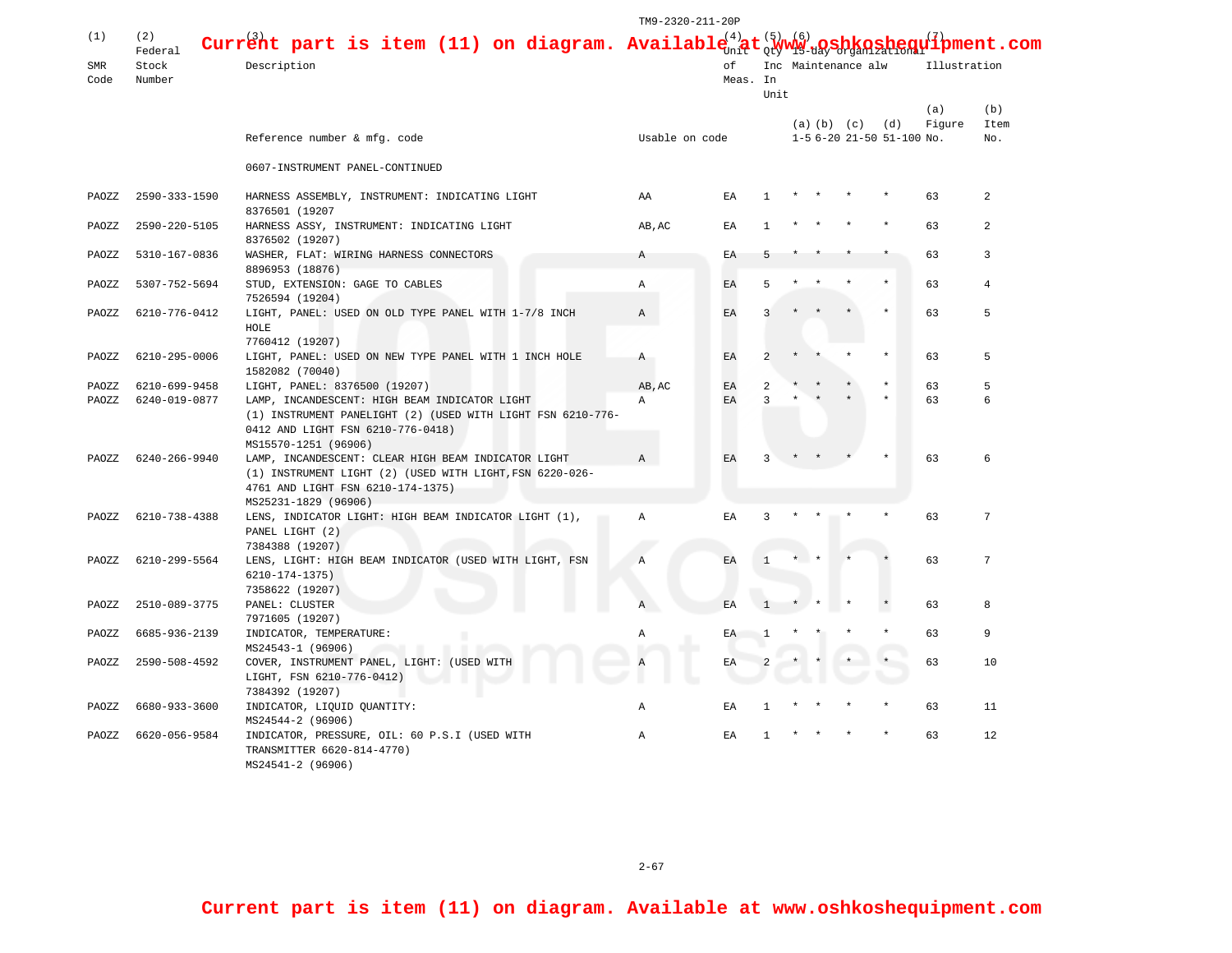|       |                |                                                                          | TM9-2320-211-20P |          |                |                     |  |                   |                           |              |                              |
|-------|----------------|--------------------------------------------------------------------------|------------------|----------|----------------|---------------------|--|-------------------|---------------------------|--------------|------------------------------|
| (1)   | (2)<br>Federal | Current part is item (11) on diagram. Availabl                           |                  | (4)      |                | (6)                 |  |                   |                           |              | $\mathbf{u}^{(7)}$ pment.com |
| SMR   | Stock          | Description                                                              |                  | оf       |                | Inc Maintenance alw |  |                   |                           | Illustration |                              |
| Code  | Number         |                                                                          |                  | Meas. In |                |                     |  |                   |                           |              |                              |
|       |                |                                                                          |                  |          | Unit           |                     |  |                   |                           |              |                              |
|       |                |                                                                          |                  |          |                |                     |  |                   |                           | (a)          | (b)                          |
|       |                |                                                                          |                  |          |                |                     |  | $(a)$ $(b)$ $(c)$ | (d)                       | Figure       | Item                         |
|       |                | Reference number & mfg. code                                             | Usable on code   |          |                |                     |  |                   | 1-5 6-20 21-50 51-100 No. |              | No.                          |
|       |                | 0607-INSTRUMENT PANEL-CONTINUED                                          |                  |          |                |                     |  |                   |                           |              |                              |
| PAOZZ | 2590-333-1590  | HARNESS ASSEMBLY, INSTRUMENT: INDICATING LIGHT                           | ΑA               | ΕA       | 1              |                     |  |                   |                           | 63           | 2                            |
|       |                | 8376501 (19207                                                           |                  |          |                |                     |  |                   |                           |              |                              |
| PAOZZ | 2590-220-5105  | HARNESS ASSY, INSTRUMENT: INDICATING LIGHT<br>8376502 (19207)            | AB, AC           | EA       |                |                     |  |                   |                           | 63           | $\overline{a}$               |
| PAOZZ | 5310-167-0836  | WASHER, FLAT: WIRING HARNESS CONNECTORS                                  | A                | ΕA       |                |                     |  |                   |                           | 63           | 3                            |
|       |                | 8896953 (18876)                                                          |                  |          |                |                     |  |                   |                           |              |                              |
| PAOZZ | 5307-752-5694  | STUD, EXTENSION: GAGE TO CABLES                                          | Α                | ΕA       | 5              |                     |  |                   |                           | 63           | $\overline{4}$               |
|       | 6210-776-0412  | 7526594 (19204)<br>LIGHT, PANEL: USED ON OLD TYPE PANEL WITH 1-7/8 INCH  |                  |          |                |                     |  |                   |                           |              | 5                            |
| PAOZZ |                | HOLE                                                                     | Α                | EA       | 3              |                     |  |                   |                           | 63           |                              |
|       |                | 7760412 (19207)                                                          |                  |          |                |                     |  |                   |                           |              | 5                            |
| PAOZZ | 6210-295-0006  | LIGHT, PANEL: USED ON NEW TYPE PANEL WITH 1 INCH HOLE<br>1582082 (70040) | A                | ΕA       | $\overline{a}$ |                     |  |                   |                           | 63           |                              |
| PAOZZ | 6210-699-9458  | LIGHT, PANEL: 8376500 (19207)                                            | AB, AC           | EA       | 2              |                     |  |                   |                           | 63           | 5                            |
| PAOZZ | 6240-019-0877  | LAMP, INCANDESCENT: HIGH BEAM INDICATOR LIGHT                            | ΕA<br>Α          | 3        |                |                     |  |                   | 63                        | 6            |                              |
|       |                | (1) INSTRUMENT PANELIGHT (2) (USED WITH LIGHT FSN 6210-776-              |                  |          |                |                     |  |                   |                           |              |                              |
|       |                | 0412 AND LIGHT FSN 6210-776-0418)                                        |                  |          |                |                     |  |                   |                           |              |                              |
|       |                | MS15570-1251 (96906)                                                     |                  |          |                |                     |  |                   |                           |              |                              |
| PAOZZ | 6240-266-9940  | LAMP, INCANDESCENT: CLEAR HIGH BEAM INDICATOR LIGHT                      | Α                | EA       | 3              |                     |  |                   |                           | 63           | 6                            |
|       |                | (1) INSTRUMENT LIGHT (2) (USED WITH LIGHT, FSN 6220-026-                 |                  |          |                |                     |  |                   |                           |              |                              |
|       |                | 4761 AND LIGHT FSN 6210-174-1375)<br>MS25231-1829 (96906)                |                  |          |                |                     |  |                   |                           |              |                              |
| PAOZZ | 6210-738-4388  | LENS, INDICATOR LIGHT: HIGH BEAM INDICATOR LIGHT (1),                    | $\mathbb{A}$     | EA       | 3              |                     |  |                   |                           | 63           | 7                            |
|       |                | PANEL LIGHT (2)                                                          |                  |          |                |                     |  |                   |                           |              |                              |
|       |                | 7384388 (19207)                                                          |                  |          |                |                     |  |                   |                           |              |                              |
| PAOZZ | 6210-299-5564  | LENS, LIGHT: HIGH BEAM INDICATOR (USED WITH LIGHT, FSN                   | A                | EA       |                |                     |  |                   |                           | 63           | 7                            |
|       |                | 6210-174-1375)                                                           |                  |          |                |                     |  |                   |                           |              |                              |
|       |                | 7358622 (19207)                                                          |                  |          |                |                     |  |                   |                           |              |                              |
| PAOZZ | 2510-089-3775  | PANEL: CLUSTER                                                           | Α                | EA       |                |                     |  |                   |                           | 63           | 8                            |
| PAOZZ | 6685-936-2139  | 7971605 (19207)<br>INDICATOR, TEMPERATURE:                               | Α                | ΕA       |                |                     |  |                   |                           | 63           | 9                            |
|       |                | MS24543-1 (96906)                                                        |                  |          |                |                     |  |                   |                           |              |                              |
| PAOZZ | 2590-508-4592  | COVER, INSTRUMENT PANEL, LIGHT: (USED WITH                               | ΕA               |          |                |                     |  |                   | 63                        | 10           |                              |
|       |                | LIGHT, FSN 6210-776-0412)                                                |                  |          |                |                     |  |                   |                           |              |                              |
|       |                | 7384392 (19207)                                                          |                  |          |                |                     |  |                   |                           |              |                              |
| PAOZZ | 6680-933-3600  | INDICATOR, LIQUID QUANTITY:                                              | Α                | EΑ       |                |                     |  |                   |                           | 63           | 11                           |
|       |                | MS24544-2 (96906)                                                        |                  |          |                |                     |  |                   |                           |              |                              |
| PAOZZ | 6620-056-9584  | INDICATOR, PRESSURE, OIL: 60 P.S.I (USED WITH                            | $\mathbb{A}$     | EA       |                |                     |  |                   |                           | 63           | 12                           |
|       |                | TRANSMITTER 6620-814-4770)                                               |                  |          |                |                     |  |                   |                           |              |                              |
|       |                | MS24541-2 (96906)                                                        |                  |          |                |                     |  |                   |                           |              |                              |

 $2 - 67$ 

**Current part is item (11) on diagram. Available at www.oshkoshequipment.com**